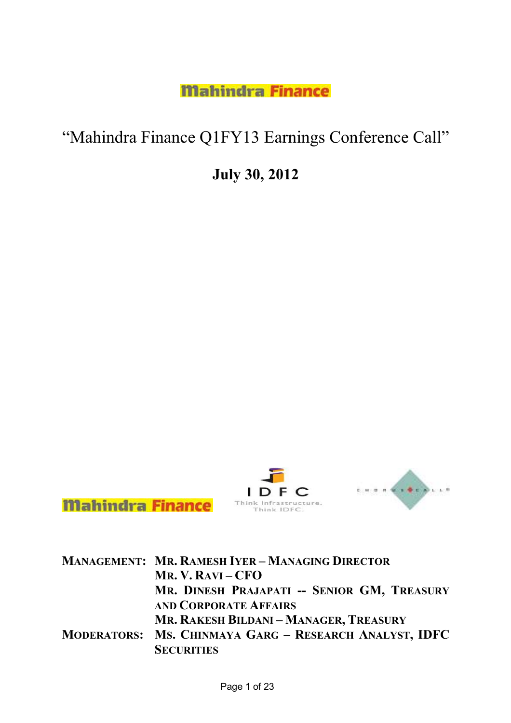**Mahindra Finance** 

## "Mahindra Finance Q1FY13 Earnings Conference Call"

July 30, 2012



|  | <b>MANAGEMENT: MR. RAMESH IYER - MANAGING DIRECTOR</b> |
|--|--------------------------------------------------------|
|  | $MR. V. RAVI - CFO$                                    |
|  | MR. DINESH PRAJAPATI -- SENIOR GM, TREASURY            |
|  | <b>AND CORPORATE AFFAIRS</b>                           |
|  | MR. RAKESH BILDANI - MANAGER, TREASURY                 |
|  | MODERATORS: MS. CHINMAYA GARG - RESEARCH ANALYST, IDFC |
|  | <b>SECURITIES</b>                                      |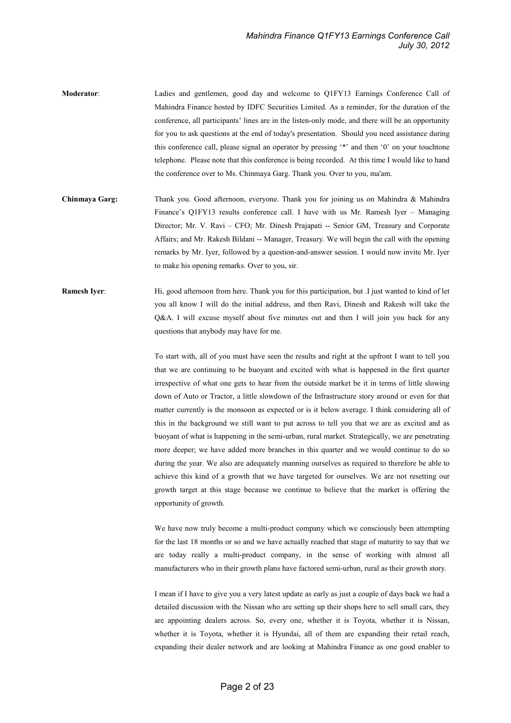- Moderator: Ladies and gentlemen, good day and welcome to Q1FY13 Earnings Conference Call of Mahindra Finance hosted by IDFC Securities Limited. As a reminder, for the duration of the conference, all participants' lines are in the listen-only mode, and there will be an opportunity for you to ask questions at the end of today's presentation. Should you need assistance during this conference call, please signal an operator by pressing '\*' and then '0' on your touchtone telephone. Please note that this conference is being recorded. At this time I would like to hand the conference over to Ms. Chinmaya Garg. Thank you. Over to you, ma'am.
- Chinmaya Garg: Thank you. Good afternoon, everyone. Thank you for joining us on Mahindra & Mahindra Finance's Q1FY13 results conference call. I have with us Mr. Ramesh Iyer – Managing Director; Mr. V. Ravi – CFO; Mr. Dinesh Prajapati -- Senior GM, Treasury and Corporate Affairs; and Mr. Rakesh Bildani -- Manager, Treasury. We will begin the call with the opening remarks by Mr. Iyer, followed by a question-and-answer session. I would now invite Mr. Iyer to make his opening remarks. Over to you, sir.
- Ramesh Iyer: Hi, good afternoon from here. Thank you for this participation, but .I just wanted to kind of let you all know I will do the initial address, and then Ravi, Dinesh and Rakesh will take the Q&A. I will excuse myself about five minutes out and then I will join you back for any questions that anybody may have for me.

To start with, all of you must have seen the results and right at the upfront I want to tell you that we are continuing to be buoyant and excited with what is happened in the first quarter irrespective of what one gets to hear from the outside market be it in terms of little slowing down of Auto or Tractor, a little slowdown of the Infrastructure story around or even for that matter currently is the monsoon as expected or is it below average. I think considering all of this in the background we still want to put across to tell you that we are as excited and as buoyant of what is happening in the semi-urban, rural market. Strategically, we are penetrating more deeper; we have added more branches in this quarter and we would continue to do so during the year. We also are adequately manning ourselves as required to therefore be able to achieve this kind of a growth that we have targeted for ourselves. We are not resetting our growth target at this stage because we continue to believe that the market is offering the opportunity of growth.

We have now truly become a multi-product company which we consciously been attempting for the last 18 months or so and we have actually reached that stage of maturity to say that we are today really a multi-product company, in the sense of working with almost all manufacturers who in their growth plans have factored semi-urban, rural as their growth story.

I mean if I have to give you a very latest update as early as just a couple of days back we had a detailed discussion with the Nissan who are setting up their shops here to sell small cars, they are appointing dealers across. So, every one, whether it is Toyota, whether it is Nissan, whether it is Toyota, whether it is Hyundai, all of them are expanding their retail reach, expanding their dealer network and are looking at Mahindra Finance as one good enabler to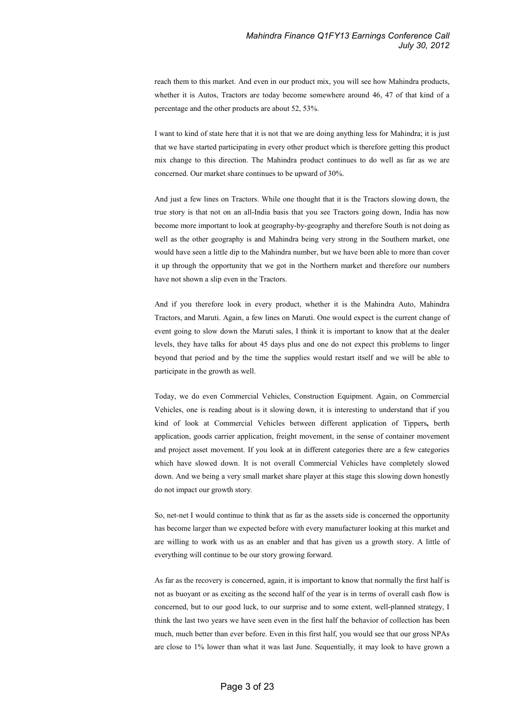reach them to this market. And even in our product mix, you will see how Mahindra products, whether it is Autos, Tractors are today become somewhere around 46, 47 of that kind of a percentage and the other products are about 52, 53%.

I want to kind of state here that it is not that we are doing anything less for Mahindra; it is just that we have started participating in every other product which is therefore getting this product mix change to this direction. The Mahindra product continues to do well as far as we are concerned. Our market share continues to be upward of 30%.

And just a few lines on Tractors. While one thought that it is the Tractors slowing down, the true story is that not on an all-India basis that you see Tractors going down, India has now become more important to look at geography-by-geography and therefore South is not doing as well as the other geography is and Mahindra being very strong in the Southern market, one would have seen a little dip to the Mahindra number, but we have been able to more than cover it up through the opportunity that we got in the Northern market and therefore our numbers have not shown a slip even in the Tractors.

And if you therefore look in every product, whether it is the Mahindra Auto, Mahindra Tractors, and Maruti. Again, a few lines on Maruti. One would expect is the current change of event going to slow down the Maruti sales, I think it is important to know that at the dealer levels, they have talks for about 45 days plus and one do not expect this problems to linger beyond that period and by the time the supplies would restart itself and we will be able to participate in the growth as well.

Today, we do even Commercial Vehicles, Construction Equipment. Again, on Commercial Vehicles, one is reading about is it slowing down, it is interesting to understand that if you kind of look at Commercial Vehicles between different application of Tippers, berth application, goods carrier application, freight movement, in the sense of container movement and project asset movement. If you look at in different categories there are a few categories which have slowed down. It is not overall Commercial Vehicles have completely slowed down. And we being a very small market share player at this stage this slowing down honestly do not impact our growth story.

So, net-net I would continue to think that as far as the assets side is concerned the opportunity has become larger than we expected before with every manufacturer looking at this market and are willing to work with us as an enabler and that has given us a growth story. A little of everything will continue to be our story growing forward.

As far as the recovery is concerned, again, it is important to know that normally the first half is not as buoyant or as exciting as the second half of the year is in terms of overall cash flow is concerned, but to our good luck, to our surprise and to some extent, well-planned strategy, I think the last two years we have seen even in the first half the behavior of collection has been much, much better than ever before. Even in this first half, you would see that our gross NPAs are close to 1% lower than what it was last June. Sequentially, it may look to have grown a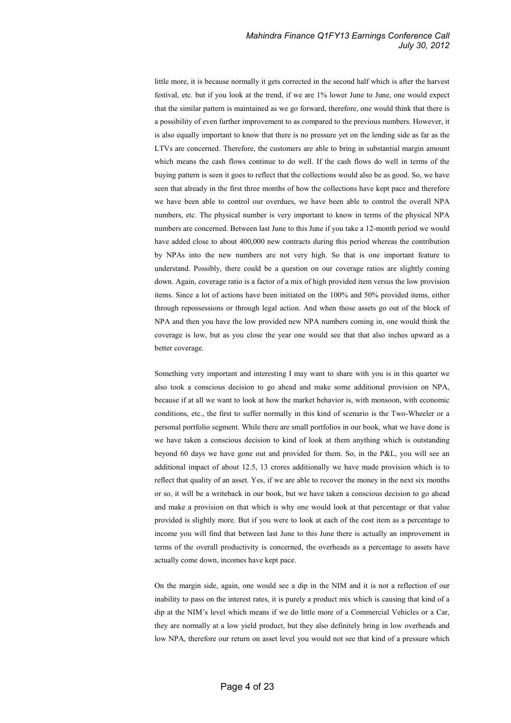## Mahindra Finance Q1FY13 Earnings Conference Call July 30, 2012

little more, it is because normally it gets corrected in the second half which is after the harvest festival, etc. but if you look at the trend, if we are 1% lower June to June, one would expect that the similar pattern is maintained as we go forward, therefore, one would think that there is a possibility of even further improvement to as compared to the previous numbers. However, it is also equally important to know that there is no pressure yet on the lending side as far as the LTVs are concerned. Therefore, the customers are able to bring in substantial margin amount which means the cash flows continue to do well. If the cash flows do well in terms of the buying pattern is seen it goes to reflect that the collections would also be as good. So, we have seen that already in the first three months of how the collections have kept pace and therefore we have been able to control our overdues, we have been able to control the overall NPA numbers, etc. The physical number is very important to know in terms of the physical NPA numbers are concerned. Between last June to this June if you take a 12-month period we would have added close to about 400,000 new contracts during this period whereas the contribution by NPAs into the new numbers are not very high. So that is one important feature to understand. Possibly, there could be a question on our coverage ratios are slightly coming down. Again, coverage ratio is a factor of a mix of high provided item versus the low provision items. Since a lot of actions have been initiated on the 100% and 50% provided items, either through repossessions or through legal action. And when those assets go out of the block of NPA and then you have the low provided new NPA numbers coming in, one would think the coverage is low, but as you close the year one would see that that also inches upward as a better coverage.

Something very important and interesting I may want to share with you is in this quarter we also took a conscious decision to go ahead and make some additional provision on NPA, because if at all we want to look at how the market behavior is, with monsoon, with economic conditions, etc., the first to suffer normally in this kind of scenario is the Two-Wheeler or a personal portfolio segment. While there are small portfolios in our book, what we have done is we have taken a conscious decision to kind of look at them anything which is outstanding beyond 60 days we have gone out and provided for them. So, in the P&L, you will see an additional impact of about 12.5, 13 crores additionally we have made provision which is to reflect that quality of an asset. Yes, if we are able to recover the money in the next six months or so, it will be a writeback in our book, but we have taken a conscious decision to go ahead and make a provision on that which is why one would look at that percentage or that value provided is slightly more. But if you were to look at each of the cost item as a percentage to income you will find that between last June to this June there is actually an improvement in terms of the overall productivity is concerned, the overheads as a percentage to assets have actually come down, incomes have kept pace.

On the margin side, again, one would see a dip in the NIM and it is not a reflection of our inability to pass on the interest rates, it is purely a product mix which is causing that kind of a dip at the NIM's level which means if we do little more of a Commercial Vehicles or a Car, they are normally at a low yield product, but they also definitely bring in low overheads and low NPA, therefore our return on asset level you would not see that kind of a pressure which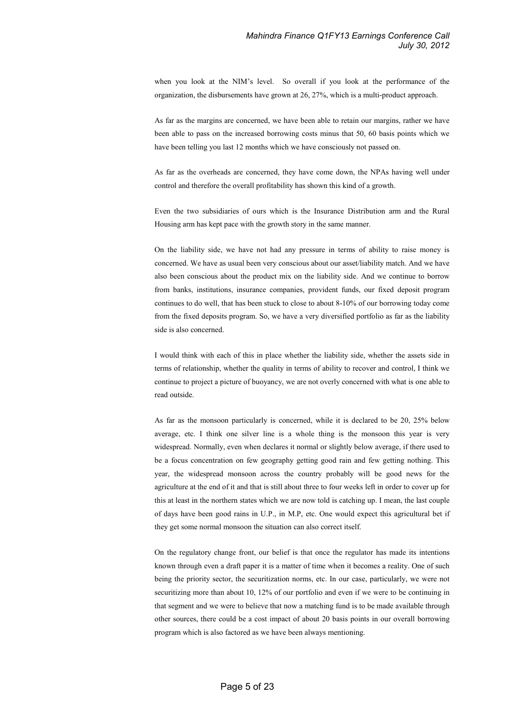when you look at the NIM's level. So overall if you look at the performance of the organization, the disbursements have grown at 26, 27%, which is a multi-product approach.

As far as the margins are concerned, we have been able to retain our margins, rather we have been able to pass on the increased borrowing costs minus that 50, 60 basis points which we have been telling you last 12 months which we have consciously not passed on.

As far as the overheads are concerned, they have come down, the NPAs having well under control and therefore the overall profitability has shown this kind of a growth.

Even the two subsidiaries of ours which is the Insurance Distribution arm and the Rural Housing arm has kept pace with the growth story in the same manner.

On the liability side, we have not had any pressure in terms of ability to raise money is concerned. We have as usual been very conscious about our asset/liability match. And we have also been conscious about the product mix on the liability side. And we continue to borrow from banks, institutions, insurance companies, provident funds, our fixed deposit program continues to do well, that has been stuck to close to about 8-10% of our borrowing today come from the fixed deposits program. So, we have a very diversified portfolio as far as the liability side is also concerned.

I would think with each of this in place whether the liability side, whether the assets side in terms of relationship, whether the quality in terms of ability to recover and control, I think we continue to project a picture of buoyancy, we are not overly concerned with what is one able to read outside.

As far as the monsoon particularly is concerned, while it is declared to be 20, 25% below average, etc. I think one silver line is a whole thing is the monsoon this year is very widespread. Normally, even when declares it normal or slightly below average, if there used to be a focus concentration on few geography getting good rain and few getting nothing. This year, the widespread monsoon across the country probably will be good news for the agriculture at the end of it and that is still about three to four weeks left in order to cover up for this at least in the northern states which we are now told is catching up. I mean, the last couple of days have been good rains in U.P., in M.P, etc. One would expect this agricultural bet if they get some normal monsoon the situation can also correct itself.

On the regulatory change front, our belief is that once the regulator has made its intentions known through even a draft paper it is a matter of time when it becomes a reality. One of such being the priority sector, the securitization norms, etc. In our case, particularly, we were not securitizing more than about 10, 12% of our portfolio and even if we were to be continuing in that segment and we were to believe that now a matching fund is to be made available through other sources, there could be a cost impact of about 20 basis points in our overall borrowing program which is also factored as we have been always mentioning.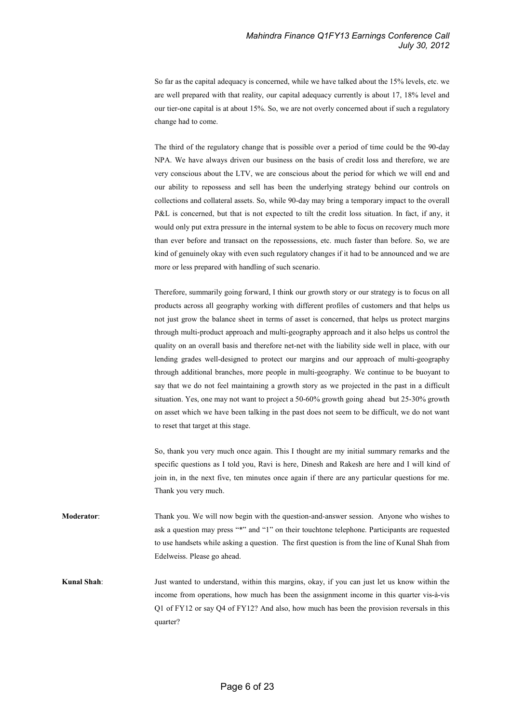So far as the capital adequacy is concerned, while we have talked about the 15% levels, etc. we are well prepared with that reality, our capital adequacy currently is about 17, 18% level and our tier-one capital is at about 15%. So, we are not overly concerned about if such a regulatory change had to come.

The third of the regulatory change that is possible over a period of time could be the 90-day NPA. We have always driven our business on the basis of credit loss and therefore, we are very conscious about the LTV, we are conscious about the period for which we will end and our ability to repossess and sell has been the underlying strategy behind our controls on collections and collateral assets. So, while 90-day may bring a temporary impact to the overall P&L is concerned, but that is not expected to tilt the credit loss situation. In fact, if any, it would only put extra pressure in the internal system to be able to focus on recovery much more than ever before and transact on the repossessions, etc. much faster than before. So, we are kind of genuinely okay with even such regulatory changes if it had to be announced and we are more or less prepared with handling of such scenario.

Therefore, summarily going forward, I think our growth story or our strategy is to focus on all products across all geography working with different profiles of customers and that helps us not just grow the balance sheet in terms of asset is concerned, that helps us protect margins through multi-product approach and multi-geography approach and it also helps us control the quality on an overall basis and therefore net-net with the liability side well in place, with our lending grades well-designed to protect our margins and our approach of multi-geography through additional branches, more people in multi-geography. We continue to be buoyant to say that we do not feel maintaining a growth story as we projected in the past in a difficult situation. Yes, one may not want to project a 50-60% growth going ahead but 25-30% growth on asset which we have been talking in the past does not seem to be difficult, we do not want to reset that target at this stage.

So, thank you very much once again. This I thought are my initial summary remarks and the specific questions as I told you, Ravi is here, Dinesh and Rakesh are here and I will kind of join in, in the next five, ten minutes once again if there are any particular questions for me. Thank you very much.

Moderator: Thank you. We will now begin with the question-and-answer session. Anyone who wishes to ask a question may press "\*" and "1" on their touchtone telephone. Participants are requested to use handsets while asking a question. The first question is from the line of Kunal Shah from Edelweiss. Please go ahead.

Kunal Shah: Just wanted to understand, within this margins, okay, if you can just let us know within the income from operations, how much has been the assignment income in this quarter vis-à-vis Q1 of FY12 or say Q4 of FY12? And also, how much has been the provision reversals in this quarter?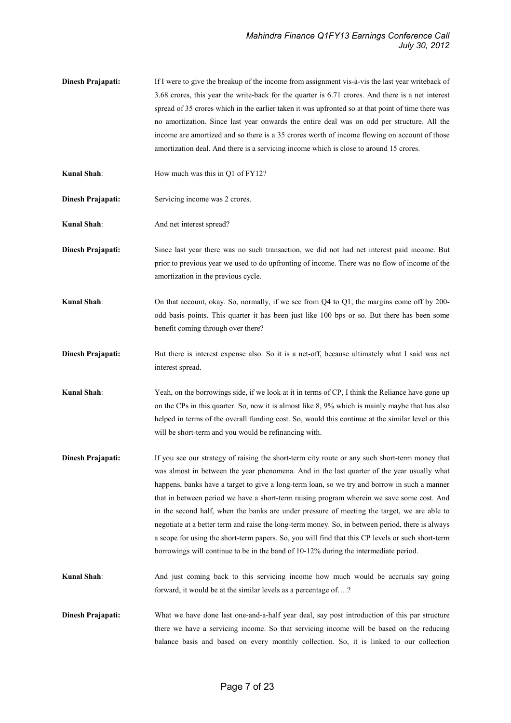- **Dinesh Prajapati:** If I were to give the breakup of the income from assignment vis-à-vis the last year writeback of 3.68 crores, this year the write-back for the quarter is 6.71 crores. And there is a net interest spread of 35 crores which in the earlier taken it was upfronted so at that point of time there was no amortization. Since last year onwards the entire deal was on odd per structure. All the income are amortized and so there is a 35 crores worth of income flowing on account of those amortization deal. And there is a servicing income which is close to around 15 crores.
- Kunal Shah: How much was this in Q1 of FY12?
- Dinesh Prajapati: Servicing income was 2 crores.
- Kunal Shah: And net interest spread?
- Dinesh Prajapati: Since last year there was no such transaction, we did not had net interest paid income. But prior to previous year we used to do upfronting of income. There was no flow of income of the amortization in the previous cycle.
- Kunal Shah: On that account, okay. So, normally, if we see from Q4 to Q1, the margins come off by 200odd basis points. This quarter it has been just like 100 bps or so. But there has been some benefit coming through over there?
- Dinesh Prajapati: But there is interest expense also. So it is a net-off, because ultimately what I said was net interest spread.
- Kunal Shah: Yeah, on the borrowings side, if we look at it in terms of CP, I think the Reliance have gone up on the CPs in this quarter. So, now it is almost like 8, 9% which is mainly maybe that has also helped in terms of the overall funding cost. So, would this continue at the similar level or this will be short-term and you would be refinancing with.
- **Dinesh Prajapati:** If you see our strategy of raising the short-term city route or any such short-term money that was almost in between the year phenomena. And in the last quarter of the year usually what happens, banks have a target to give a long-term loan, so we try and borrow in such a manner that in between period we have a short-term raising program wherein we save some cost. And in the second half, when the banks are under pressure of meeting the target, we are able to negotiate at a better term and raise the long-term money. So, in between period, there is always a scope for using the short-term papers. So, you will find that this CP levels or such short-term borrowings will continue to be in the band of 10-12% during the intermediate period.
- Kunal Shah: And just coming back to this servicing income how much would be accruals say going forward, it would be at the similar levels as a percentage of….?
- Dinesh Prajapati: What we have done last one-and-a-half year deal, say post introduction of this par structure there we have a servicing income. So that servicing income will be based on the reducing balance basis and based on every monthly collection. So, it is linked to our collection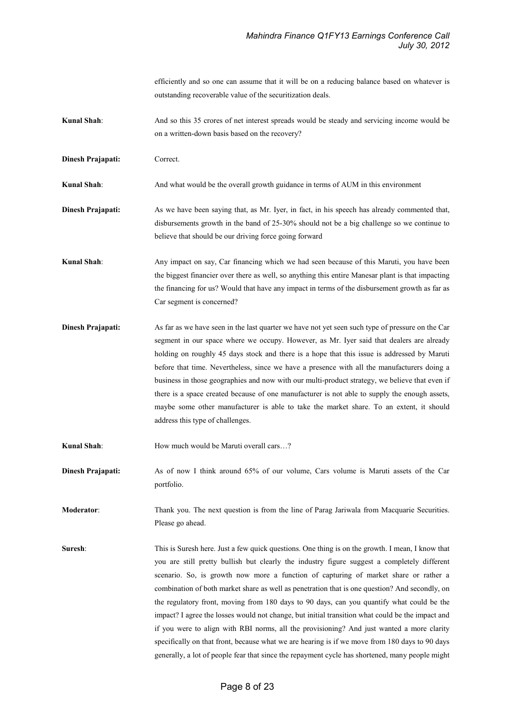efficiently and so one can assume that it will be on a reducing balance based on whatever is outstanding recoverable value of the securitization deals.

- Kunal Shah: And so this 35 crores of net interest spreads would be steady and servicing income would be on a written-down basis based on the recovery?
- Dinesh Prajapati: Correct.

Kunal Shah: And what would be the overall growth guidance in terms of AUM in this environment

- Dinesh Prajapati: As we have been saying that, as Mr. Iyer, in fact, in his speech has already commented that, disbursements growth in the band of 25-30% should not be a big challenge so we continue to believe that should be our driving force going forward
- Kunal Shah: Any impact on say, Car financing which we had seen because of this Maruti, you have been the biggest financier over there as well, so anything this entire Manesar plant is that impacting the financing for us? Would that have any impact in terms of the disbursement growth as far as Car segment is concerned?
- **Dinesh Prajapati:** As far as we have seen in the last quarter we have not yet seen such type of pressure on the Car segment in our space where we occupy. However, as Mr. Iyer said that dealers are already holding on roughly 45 days stock and there is a hope that this issue is addressed by Maruti before that time. Nevertheless, since we have a presence with all the manufacturers doing a business in those geographies and now with our multi-product strategy, we believe that even if there is a space created because of one manufacturer is not able to supply the enough assets, maybe some other manufacturer is able to take the market share. To an extent, it should address this type of challenges.
- Kunal Shah: How much would be Maruti overall cars...?
- Dinesh Prajapati: As of now I think around 65% of our volume, Cars volume is Maruti assets of the Car portfolio.
- Moderator: Thank you. The next question is from the line of Parag Jariwala from Macquarie Securities. Please go ahead.
- Suresh: This is Suresh here. Just a few quick questions. One thing is on the growth. I mean, I know that you are still pretty bullish but clearly the industry figure suggest a completely different scenario. So, is growth now more a function of capturing of market share or rather a combination of both market share as well as penetration that is one question? And secondly, on the regulatory front, moving from 180 days to 90 days, can you quantify what could be the impact? I agree the losses would not change, but initial transition what could be the impact and if you were to align with RBI norms, all the provisioning? And just wanted a more clarity specifically on that front, because what we are hearing is if we move from 180 days to 90 days generally, a lot of people fear that since the repayment cycle has shortened, many people might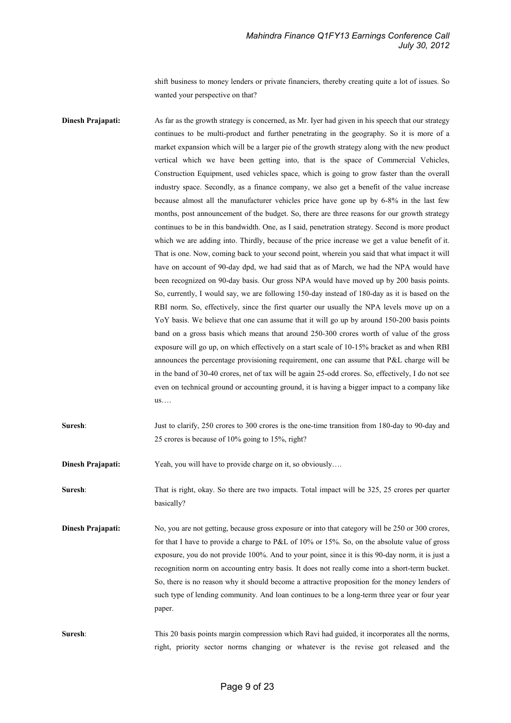shift business to money lenders or private financiers, thereby creating quite a lot of issues. So wanted your perspective on that?

Dinesh Prajapati: As far as the growth strategy is concerned, as Mr. Iyer had given in his speech that our strategy continues to be multi-product and further penetrating in the geography. So it is more of a market expansion which will be a larger pie of the growth strategy along with the new product vertical which we have been getting into, that is the space of Commercial Vehicles, Construction Equipment, used vehicles space, which is going to grow faster than the overall industry space. Secondly, as a finance company, we also get a benefit of the value increase because almost all the manufacturer vehicles price have gone up by 6-8% in the last few months, post announcement of the budget. So, there are three reasons for our growth strategy continues to be in this bandwidth. One, as I said, penetration strategy. Second is more product which we are adding into. Thirdly, because of the price increase we get a value benefit of it. That is one. Now, coming back to your second point, wherein you said that what impact it will have on account of 90-day dpd, we had said that as of March, we had the NPA would have been recognized on 90-day basis. Our gross NPA would have moved up by 200 basis points. So, currently, I would say, we are following 150-day instead of 180-day as it is based on the RBI norm. So, effectively, since the first quarter our usually the NPA levels move up on a YoY basis. We believe that one can assume that it will go up by around 150-200 basis points band on a gross basis which means that around 250-300 crores worth of value of the gross exposure will go up, on which effectively on a start scale of 10-15% bracket as and when RBI announces the percentage provisioning requirement, one can assume that P&L charge will be in the band of 30-40 crores, net of tax will be again 25-odd crores. So, effectively, I do not see even on technical ground or accounting ground, it is having a bigger impact to a company like us…. Suresh: Just to clarify, 250 crores to 300 crores is the one-time transition from 180-day to 90-day and 25 crores is because of 10% going to 15%, right? Dinesh Prajapati: Yeah, you will have to provide charge on it, so obviously.... Suresh: That is right, okay. So there are two impacts. Total impact will be 325, 25 crores per quarter basically?

Dinesh Prajapati: No, you are not getting, because gross exposure or into that category will be 250 or 300 crores, for that I have to provide a charge to P&L of 10% or 15%. So, on the absolute value of gross exposure, you do not provide 100%. And to your point, since it is this 90-day norm, it is just a recognition norm on accounting entry basis. It does not really come into a short-term bucket. So, there is no reason why it should become a attractive proposition for the money lenders of such type of lending community. And loan continues to be a long-term three year or four year paper.

Suresh: This 20 basis points margin compression which Ravi had guided, it incorporates all the norms, right, priority sector norms changing or whatever is the revise got released and the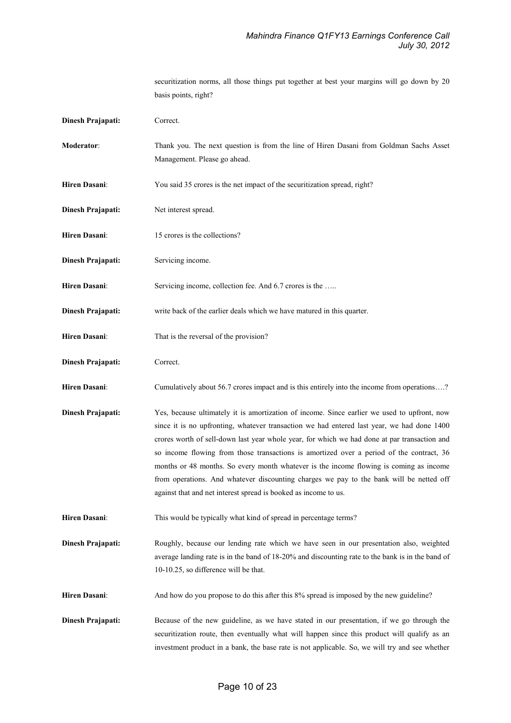securitization norms, all those things put together at best your margins will go down by 20 basis points, right? Dinesh Prajapati: Correct. Moderator: Thank you. The next question is from the line of Hiren Dasani from Goldman Sachs Asset Management. Please go ahead. Hiren Dasani: You said 35 crores is the net impact of the securitization spread, right? Dinesh Prajapati: Net interest spread. Hiren Dasani: 15 crores is the collections? **Dinesh Prajapati:** Servicing income. Hiren Dasani: Servicing income, collection fee. And 6.7 crores is the ..... Dinesh Prajapati: write back of the earlier deals which we have matured in this quarter. Hiren Dasani: That is the reversal of the provision? Dinesh Prajapati: Correct. Hiren Dasani: Cumulatively about 56.7 crores impact and is this entirely into the income from operations....? Dinesh Prajapati: Yes, because ultimately it is amortization of income. Since earlier we used to upfront, now since it is no upfronting, whatever transaction we had entered last year, we had done 1400 crores worth of sell-down last year whole year, for which we had done at par transaction and so income flowing from those transactions is amortized over a period of the contract, 36 months or 48 months. So every month whatever is the income flowing is coming as income from operations. And whatever discounting charges we pay to the bank will be netted off against that and net interest spread is booked as income to us. Hiren Dasani: This would be typically what kind of spread in percentage terms? Dinesh Prajapati: Roughly, because our lending rate which we have seen in our presentation also, weighted average landing rate is in the band of 18-20% and discounting rate to the bank is in the band of 10-10.25, so difference will be that. Hiren Dasani: And how do you propose to do this after this 8% spread is imposed by the new guideline? Dinesh Prajapati: Because of the new guideline, as we have stated in our presentation, if we go through the securitization route, then eventually what will happen since this product will qualify as an investment product in a bank, the base rate is not applicable. So, we will try and see whether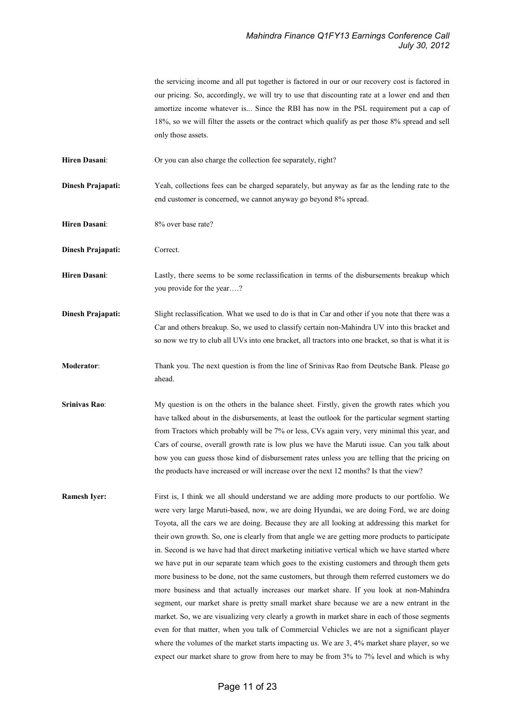the servicing income and all put together is factored in our or our recovery cost is factored in our pricing. So, accordingly, we will try to use that discounting rate at a lower end and then amortize income whatever is... Since the RBI has now in the PSL requirement put a cap of 18%, so we will filter the assets or the contract which qualify as per those 8% spread and sell only those assets.

Hiren Dasani: Or you can also charge the collection fee separately, right?

Dinesh Prajapati: Yeah, collections fees can be charged separately, but anyway as far as the lending rate to the end customer is concerned, we cannot anyway go beyond 8% spread.

Hiren Dasani: 8% over base rate?

Dinesh Prajapati: Correct.

Hiren Dasani: Lastly, there seems to be some reclassification in terms of the disbursements breakup which you provide for the year….?

Dinesh Prajapati: Slight reclassification. What we used to do is that in Car and other if you note that there was a Car and others breakup. So, we used to classify certain non-Mahindra UV into this bracket and so now we try to club all UVs into one bracket, all tractors into one bracket, so that is what it is

Moderator: Thank you. The next question is from the line of Srinivas Rao from Deutsche Bank. Please go ahead.

Srinivas Rao: My question is on the others in the balance sheet. Firstly, given the growth rates which you have talked about in the disbursements, at least the outlook for the particular segment starting from Tractors which probably will be 7% or less, CVs again very, very minimal this year, and Cars of course, overall growth rate is low plus we have the Maruti issue. Can you talk about how you can guess those kind of disbursement rates unless you are telling that the pricing on the products have increased or will increase over the next 12 months? Is that the view?

Ramesh Iyer: First is, I think we all should understand we are adding more products to our portfolio. We were very large Maruti-based, now, we are doing Hyundai, we are doing Ford, we are doing Toyota, all the cars we are doing. Because they are all looking at addressing this market for their own growth. So, one is clearly from that angle we are getting more products to participate in. Second is we have had that direct marketing initiative vertical which we have started where we have put in our separate team which goes to the existing customers and through them gets more business to be done, not the same customers, but through them referred customers we do more business and that actually increases our market share. If you look at non-Mahindra segment, our market share is pretty small market share because we are a new entrant in the market. So, we are visualizing very clearly a growth in market share in each of those segments even for that matter, when you talk of Commercial Vehicles we are not a significant player where the volumes of the market starts impacting us. We are 3, 4% market share player, so we expect our market share to grow from here to may be from 3% to 7% level and which is why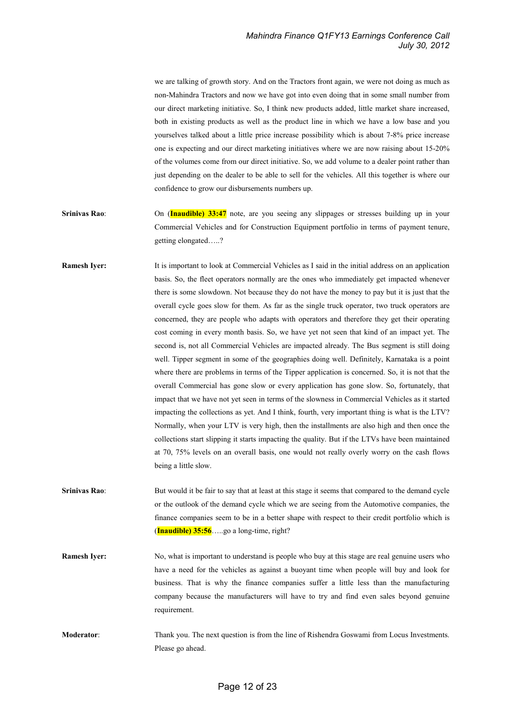we are talking of growth story. And on the Tractors front again, we were not doing as much as non-Mahindra Tractors and now we have got into even doing that in some small number from our direct marketing initiative. So, I think new products added, little market share increased, both in existing products as well as the product line in which we have a low base and you yourselves talked about a little price increase possibility which is about 7-8% price increase one is expecting and our direct marketing initiatives where we are now raising about 15-20% of the volumes come from our direct initiative. So, we add volume to a dealer point rather than just depending on the dealer to be able to sell for the vehicles. All this together is where our confidence to grow our disbursements numbers up.

- Srinivas Rao: On (Inaudible) 33:47 note, are you seeing any slippages or stresses building up in your Commercial Vehicles and for Construction Equipment portfolio in terms of payment tenure, getting elongated…..?
- Ramesh Iyer: It is important to look at Commercial Vehicles as I said in the initial address on an application basis. So, the fleet operators normally are the ones who immediately get impacted whenever there is some slowdown. Not because they do not have the money to pay but it is just that the overall cycle goes slow for them. As far as the single truck operator, two truck operators are concerned, they are people who adapts with operators and therefore they get their operating cost coming in every month basis. So, we have yet not seen that kind of an impact yet. The second is, not all Commercial Vehicles are impacted already. The Bus segment is still doing well. Tipper segment in some of the geographies doing well. Definitely, Karnataka is a point where there are problems in terms of the Tipper application is concerned. So, it is not that the overall Commercial has gone slow or every application has gone slow. So, fortunately, that impact that we have not yet seen in terms of the slowness in Commercial Vehicles as it started impacting the collections as yet. And I think, fourth, very important thing is what is the LTV? Normally, when your LTV is very high, then the installments are also high and then once the collections start slipping it starts impacting the quality. But if the LTVs have been maintained at 70, 75% levels on an overall basis, one would not really overly worry on the cash flows being a little slow.
- Srinivas Rao: But would it be fair to say that at least at this stage it seems that compared to the demand cycle or the outlook of the demand cycle which we are seeing from the Automotive companies, the finance companies seem to be in a better shape with respect to their credit portfolio which is  $($ Inaudible) 35:56. ... go a long-time, right?
- **Ramesh Iyer:** No, what is important to understand is people who buy at this stage are real genuine users who have a need for the vehicles as against a buoyant time when people will buy and look for business. That is why the finance companies suffer a little less than the manufacturing company because the manufacturers will have to try and find even sales beyond genuine requirement.
- Moderator: Thank you. The next question is from the line of Rishendra Goswami from Locus Investments. Please go ahead.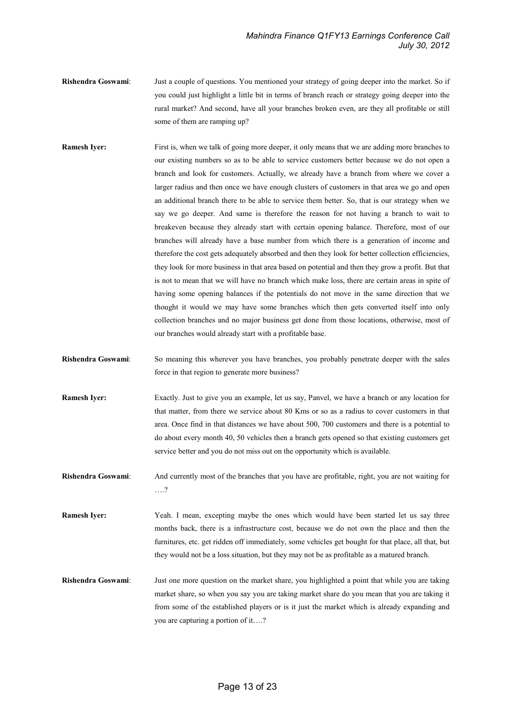- Rishendra Goswami: Just a couple of questions. You mentioned your strategy of going deeper into the market. So if you could just highlight a little bit in terms of branch reach or strategy going deeper into the rural market? And second, have all your branches broken even, are they all profitable or still some of them are ramping up?
- Ramesh Iyer: First is, when we talk of going more deeper, it only means that we are adding more branches to our existing numbers so as to be able to service customers better because we do not open a branch and look for customers. Actually, we already have a branch from where we cover a larger radius and then once we have enough clusters of customers in that area we go and open an additional branch there to be able to service them better. So, that is our strategy when we say we go deeper. And same is therefore the reason for not having a branch to wait to breakeven because they already start with certain opening balance. Therefore, most of our branches will already have a base number from which there is a generation of income and therefore the cost gets adequately absorbed and then they look for better collection efficiencies, they look for more business in that area based on potential and then they grow a profit. But that is not to mean that we will have no branch which make loss, there are certain areas in spite of having some opening balances if the potentials do not move in the same direction that we thought it would we may have some branches which then gets converted itself into only collection branches and no major business get done from those locations, otherwise, most of our branches would already start with a profitable base.
- Rishendra Goswami: So meaning this wherever you have branches, you probably penetrate deeper with the sales force in that region to generate more business?
- Ramesh Iyer: Exactly. Just to give you an example, let us say, Panvel, we have a branch or any location for that matter, from there we service about 80 Kms or so as a radius to cover customers in that area. Once find in that distances we have about 500, 700 customers and there is a potential to do about every month 40, 50 vehicles then a branch gets opened so that existing customers get service better and you do not miss out on the opportunity which is available.
- Rishendra Goswami: And currently most of the branches that you have are profitable, right, you are not waiting for ….?
- Ramesh Iyer: Yeah. I mean, excepting maybe the ones which would have been started let us say three months back, there is a infrastructure cost, because we do not own the place and then the furnitures, etc. get ridden off immediately, some vehicles get bought for that place, all that, but they would not be a loss situation, but they may not be as profitable as a matured branch.
- Rishendra Goswami: Just one more question on the market share, you highlighted a point that while you are taking market share, so when you say you are taking market share do you mean that you are taking it from some of the established players or is it just the market which is already expanding and you are capturing a portion of it….?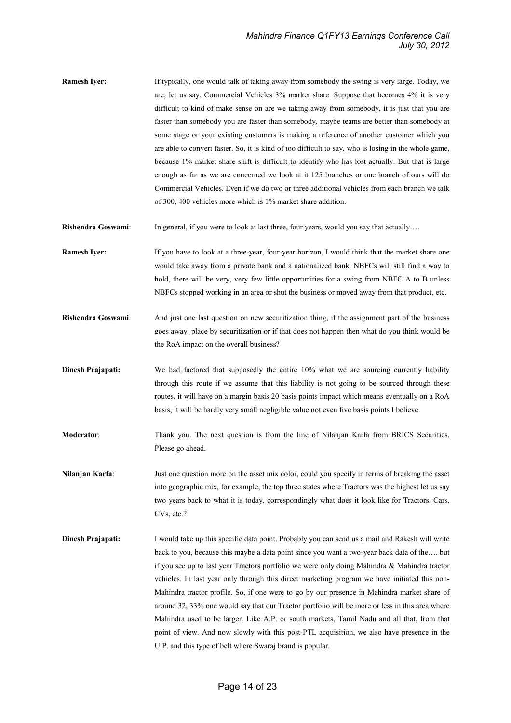- Ramesh Iyer: If typically, one would talk of taking away from somebody the swing is very large. Today, we are, let us say, Commercial Vehicles 3% market share. Suppose that becomes 4% it is very difficult to kind of make sense on are we taking away from somebody, it is just that you are faster than somebody you are faster than somebody, maybe teams are better than somebody at some stage or your existing customers is making a reference of another customer which you are able to convert faster. So, it is kind of too difficult to say, who is losing in the whole game, because 1% market share shift is difficult to identify who has lost actually. But that is large enough as far as we are concerned we look at it 125 branches or one branch of ours will do Commercial Vehicles. Even if we do two or three additional vehicles from each branch we talk of 300, 400 vehicles more which is 1% market share addition.
- Rishendra Goswami: In general, if you were to look at last three, four years, would you say that actually….
- Ramesh Iyer: If you have to look at a three-year, four-year horizon, I would think that the market share one would take away from a private bank and a nationalized bank. NBFCs will still find a way to hold, there will be very, very few little opportunities for a swing from NBFC A to B unless NBFCs stopped working in an area or shut the business or moved away from that product, etc.
- Rishendra Goswami: And just one last question on new securitization thing, if the assignment part of the business goes away, place by securitization or if that does not happen then what do you think would be the RoA impact on the overall business?
- Dinesh Prajapati: We had factored that supposedly the entire 10% what we are sourcing currently liability through this route if we assume that this liability is not going to be sourced through these routes, it will have on a margin basis 20 basis points impact which means eventually on a RoA basis, it will be hardly very small negligible value not even five basis points I believe.
- Moderator: Thank you. The next question is from the line of Nilanjan Karfa from BRICS Securities. Please go ahead.
- Nilanjan Karfa: Just one question more on the asset mix color, could you specify in terms of breaking the asset into geographic mix, for example, the top three states where Tractors was the highest let us say two years back to what it is today, correspondingly what does it look like for Tractors, Cars, CVs, etc.?
- **Dinesh Prajapati:** I would take up this specific data point. Probably you can send us a mail and Rakesh will write back to you, because this maybe a data point since you want a two-year back data of the…. but if you see up to last year Tractors portfolio we were only doing Mahindra & Mahindra tractor vehicles. In last year only through this direct marketing program we have initiated this non-Mahindra tractor profile. So, if one were to go by our presence in Mahindra market share of around 32, 33% one would say that our Tractor portfolio will be more or less in this area where Mahindra used to be larger. Like A.P. or south markets, Tamil Nadu and all that, from that point of view. And now slowly with this post-PTL acquisition, we also have presence in the U.P. and this type of belt where Swaraj brand is popular.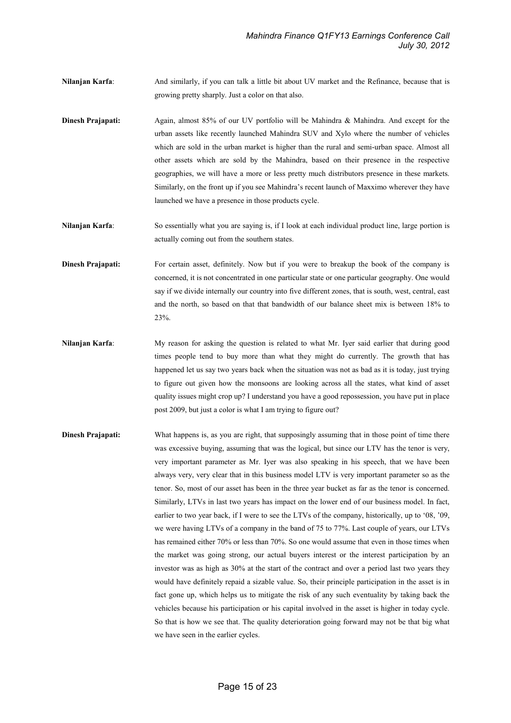Nilanjan Karfa: And similarly, if you can talk a little bit about UV market and the Refinance, because that is growing pretty sharply. Just a color on that also.

**Dinesh Prajapati:** Again, almost 85% of our UV portfolio will be Mahindra & Mahindra. And except for the urban assets like recently launched Mahindra SUV and Xylo where the number of vehicles which are sold in the urban market is higher than the rural and semi-urban space. Almost all other assets which are sold by the Mahindra, based on their presence in the respective geographies, we will have a more or less pretty much distributors presence in these markets. Similarly, on the front up if you see Mahindra's recent launch of Maxximo wherever they have launched we have a presence in those products cycle.

Nilanjan Karfa: So essentially what you are saying is, if I look at each individual product line, large portion is actually coming out from the southern states.

Dinesh Prajapati: For certain asset, definitely. Now but if you were to breakup the book of the company is concerned, it is not concentrated in one particular state or one particular geography. One would say if we divide internally our country into five different zones, that is south, west, central, east and the north, so based on that that bandwidth of our balance sheet mix is between 18% to 23%.

- Nilanjan Karfa: My reason for asking the question is related to what Mr. Iyer said earlier that during good times people tend to buy more than what they might do currently. The growth that has happened let us say two years back when the situation was not as bad as it is today, just trying to figure out given how the monsoons are looking across all the states, what kind of asset quality issues might crop up? I understand you have a good repossession, you have put in place post 2009, but just a color is what I am trying to figure out?
- Dinesh Prajapati: What happens is, as you are right, that supposingly assuming that in those point of time there was excessive buying, assuming that was the logical, but since our LTV has the tenor is very, very important parameter as Mr. Iyer was also speaking in his speech, that we have been always very, very clear that in this business model LTV is very important parameter so as the tenor. So, most of our asset has been in the three year bucket as far as the tenor is concerned. Similarly, LTVs in last two years has impact on the lower end of our business model. In fact, earlier to two year back, if I were to see the LTVs of the company, historically, up to '08, '09, we were having LTVs of a company in the band of 75 to 77%. Last couple of years, our LTVs has remained either 70% or less than 70%. So one would assume that even in those times when the market was going strong, our actual buyers interest or the interest participation by an investor was as high as 30% at the start of the contract and over a period last two years they would have definitely repaid a sizable value. So, their principle participation in the asset is in fact gone up, which helps us to mitigate the risk of any such eventuality by taking back the vehicles because his participation or his capital involved in the asset is higher in today cycle. So that is how we see that. The quality deterioration going forward may not be that big what we have seen in the earlier cycles.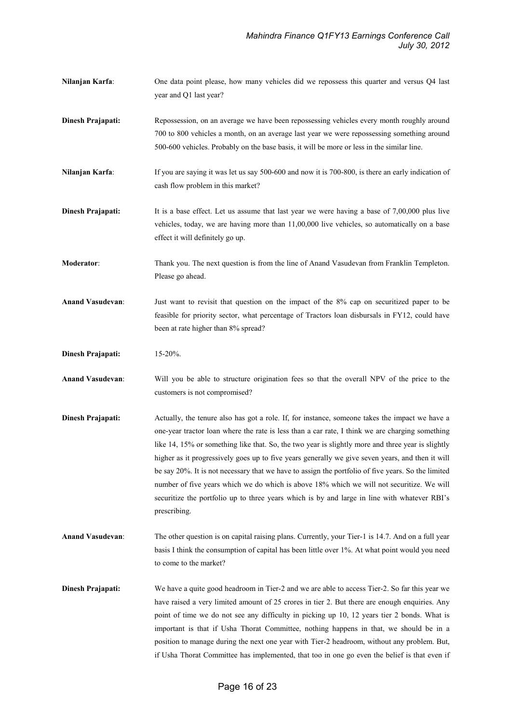- Nilanjan Karfa: One data point please, how many vehicles did we repossess this quarter and versus Q4 last year and Q1 last year?
- Dinesh Prajapati: Repossession, on an average we have been repossessing vehicles every month roughly around 700 to 800 vehicles a month, on an average last year we were repossessing something around 500-600 vehicles. Probably on the base basis, it will be more or less in the similar line.
- Nilanjan Karfa: If you are saying it was let us say 500-600 and now it is 700-800, is there an early indication of cash flow problem in this market?
- Dinesh Prajapati: It is a base effect. Let us assume that last year we were having a base of 7,00,000 plus live vehicles, today, we are having more than 11,00,000 live vehicles, so automatically on a base effect it will definitely go up.
- Moderator: Thank you. The next question is from the line of Anand Vasudevan from Franklin Templeton. Please go ahead.
- Anand Vasudevan: Just want to revisit that question on the impact of the 8% cap on securitized paper to be feasible for priority sector, what percentage of Tractors loan disbursals in FY12, could have been at rate higher than 8% spread?
- Dinesh Prajapati: 15-20%.
- Anand Vasudevan: Will you be able to structure origination fees so that the overall NPV of the price to the customers is not compromised?
- Dinesh Prajapati: Actually, the tenure also has got a role. If, for instance, someone takes the impact we have a one-year tractor loan where the rate is less than a car rate, I think we are charging something like 14, 15% or something like that. So, the two year is slightly more and three year is slightly higher as it progressively goes up to five years generally we give seven years, and then it will be say 20%. It is not necessary that we have to assign the portfolio of five years. So the limited number of five years which we do which is above 18% which we will not securitize. We will securitize the portfolio up to three years which is by and large in line with whatever RBI's prescribing.
- Anand Vasudevan: The other question is on capital raising plans. Currently, your Tier-1 is 14.7. And on a full year basis I think the consumption of capital has been little over 1%. At what point would you need to come to the market?
- **Dinesh Prajapati:** We have a quite good headroom in Tier-2 and we are able to access Tier-2. So far this year we have raised a very limited amount of 25 crores in tier 2. But there are enough enquiries. Any point of time we do not see any difficulty in picking up 10, 12 years tier 2 bonds. What is important is that if Usha Thorat Committee, nothing happens in that, we should be in a position to manage during the next one year with Tier-2 headroom, without any problem. But, if Usha Thorat Committee has implemented, that too in one go even the belief is that even if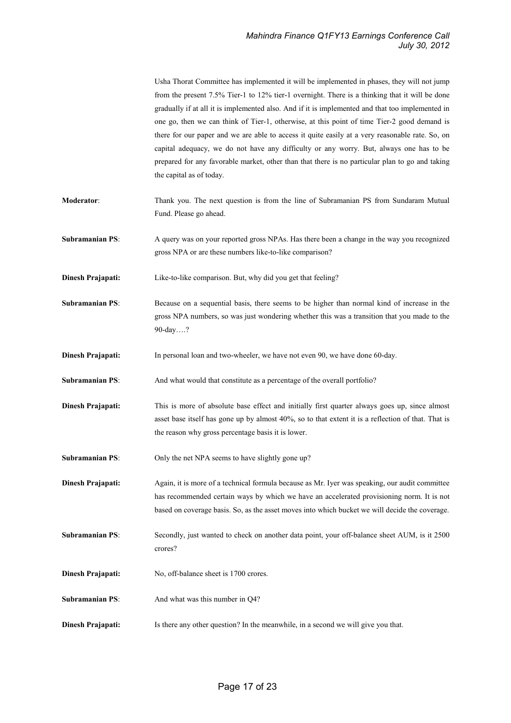|                        | Usha Thorat Committee has implemented it will be implemented in phases, they will not jump<br>from the present 7.5% Tier-1 to 12% tier-1 overnight. There is a thinking that it will be done<br>gradually if at all it is implemented also. And if it is implemented and that too implemented in<br>one go, then we can think of Tier-1, otherwise, at this point of time Tier-2 good demand is<br>there for our paper and we are able to access it quite easily at a very reasonable rate. So, on<br>capital adequacy, we do not have any difficulty or any worry. But, always one has to be<br>prepared for any favorable market, other than that there is no particular plan to go and taking<br>the capital as of today. |
|------------------------|------------------------------------------------------------------------------------------------------------------------------------------------------------------------------------------------------------------------------------------------------------------------------------------------------------------------------------------------------------------------------------------------------------------------------------------------------------------------------------------------------------------------------------------------------------------------------------------------------------------------------------------------------------------------------------------------------------------------------|
| Moderator:             | Thank you. The next question is from the line of Subramanian PS from Sundaram Mutual<br>Fund. Please go ahead.                                                                                                                                                                                                                                                                                                                                                                                                                                                                                                                                                                                                               |
| <b>Subramanian PS:</b> | A query was on your reported gross NPAs. Has there been a change in the way you recognized<br>gross NPA or are these numbers like-to-like comparison?                                                                                                                                                                                                                                                                                                                                                                                                                                                                                                                                                                        |
| Dinesh Prajapati:      | Like-to-like comparison. But, why did you get that feeling?                                                                                                                                                                                                                                                                                                                                                                                                                                                                                                                                                                                                                                                                  |
| <b>Subramanian PS:</b> | Because on a sequential basis, there seems to be higher than normal kind of increase in the<br>gross NPA numbers, so was just wondering whether this was a transition that you made to the<br>90-day?                                                                                                                                                                                                                                                                                                                                                                                                                                                                                                                        |
| Dinesh Prajapati:      | In personal loan and two-wheeler, we have not even 90, we have done 60-day.                                                                                                                                                                                                                                                                                                                                                                                                                                                                                                                                                                                                                                                  |
| <b>Subramanian PS:</b> | And what would that constitute as a percentage of the overall portfolio?                                                                                                                                                                                                                                                                                                                                                                                                                                                                                                                                                                                                                                                     |
| Dinesh Prajapati:      | This is more of absolute base effect and initially first quarter always goes up, since almost<br>asset base itself has gone up by almost 40%, so to that extent it is a reflection of that. That is<br>the reason why gross percentage basis it is lower.                                                                                                                                                                                                                                                                                                                                                                                                                                                                    |
| <b>Subramanian PS:</b> | Only the net NPA seems to have slightly gone up?                                                                                                                                                                                                                                                                                                                                                                                                                                                                                                                                                                                                                                                                             |
| Dinesh Prajapati:      | Again, it is more of a technical formula because as Mr. Iyer was speaking, our audit committee<br>has recommended certain ways by which we have an accelerated provisioning norm. It is not<br>based on coverage basis. So, as the asset moves into which bucket we will decide the coverage.                                                                                                                                                                                                                                                                                                                                                                                                                                |
| <b>Subramanian PS:</b> | Secondly, just wanted to check on another data point, your off-balance sheet AUM, is it 2500<br>crores?                                                                                                                                                                                                                                                                                                                                                                                                                                                                                                                                                                                                                      |
| Dinesh Prajapati:      | No, off-balance sheet is 1700 crores.                                                                                                                                                                                                                                                                                                                                                                                                                                                                                                                                                                                                                                                                                        |
| <b>Subramanian PS:</b> | And what was this number in Q4?                                                                                                                                                                                                                                                                                                                                                                                                                                                                                                                                                                                                                                                                                              |
| Dinesh Prajapati:      | Is there any other question? In the meanwhile, in a second we will give you that.                                                                                                                                                                                                                                                                                                                                                                                                                                                                                                                                                                                                                                            |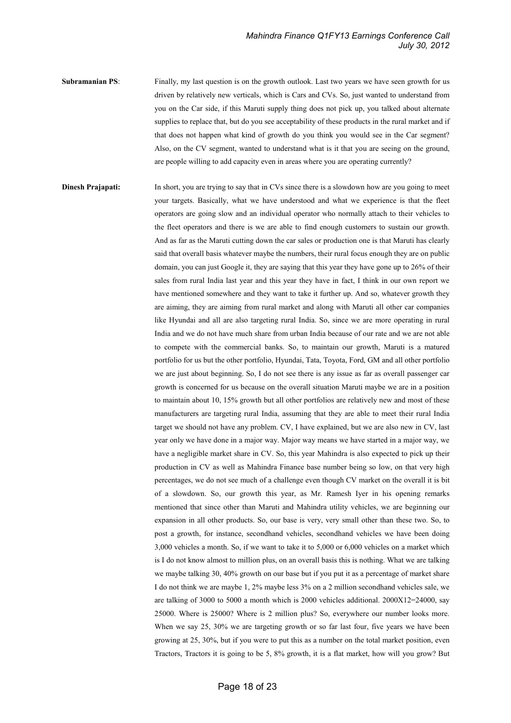Subramanian PS: Finally, my last question is on the growth outlook. Last two years we have seen growth for us driven by relatively new verticals, which is Cars and CVs. So, just wanted to understand from you on the Car side, if this Maruti supply thing does not pick up, you talked about alternate supplies to replace that, but do you see acceptability of these products in the rural market and if that does not happen what kind of growth do you think you would see in the Car segment? Also, on the CV segment, wanted to understand what is it that you are seeing on the ground, are people willing to add capacity even in areas where you are operating currently?

**Dinesh Prajapati:** In short, you are trying to say that in CVs since there is a slowdown how are you going to meet your targets. Basically, what we have understood and what we experience is that the fleet operators are going slow and an individual operator who normally attach to their vehicles to the fleet operators and there is we are able to find enough customers to sustain our growth. And as far as the Maruti cutting down the car sales or production one is that Maruti has clearly said that overall basis whatever maybe the numbers, their rural focus enough they are on public domain, you can just Google it, they are saying that this year they have gone up to 26% of their sales from rural India last year and this year they have in fact, I think in our own report we have mentioned somewhere and they want to take it further up. And so, whatever growth they are aiming, they are aiming from rural market and along with Maruti all other car companies like Hyundai and all are also targeting rural India. So, since we are more operating in rural India and we do not have much share from urban India because of our rate and we are not able to compete with the commercial banks. So, to maintain our growth, Maruti is a matured portfolio for us but the other portfolio, Hyundai, Tata, Toyota, Ford, GM and all other portfolio we are just about beginning. So, I do not see there is any issue as far as overall passenger car growth is concerned for us because on the overall situation Maruti maybe we are in a position to maintain about 10, 15% growth but all other portfolios are relatively new and most of these manufacturers are targeting rural India, assuming that they are able to meet their rural India target we should not have any problem. CV, I have explained, but we are also new in CV, last year only we have done in a major way. Major way means we have started in a major way, we have a negligible market share in CV. So, this year Mahindra is also expected to pick up their production in CV as well as Mahindra Finance base number being so low, on that very high percentages, we do not see much of a challenge even though CV market on the overall it is bit of a slowdown. So, our growth this year, as Mr. Ramesh Iyer in his opening remarks mentioned that since other than Maruti and Mahindra utility vehicles, we are beginning our expansion in all other products. So, our base is very, very small other than these two. So, to post a growth, for instance, secondhand vehicles, secondhand vehicles we have been doing 3,000 vehicles a month. So, if we want to take it to 5,000 or 6,000 vehicles on a market which is I do not know almost to million plus, on an overall basis this is nothing. What we are talking we maybe talking 30, 40% growth on our base but if you put it as a percentage of market share I do not think we are maybe 1, 2% maybe less 3% on a 2 million secondhand vehicles sale, we are talking of 3000 to 5000 a month which is 2000 vehicles additional.  $2000 \text{X}12=24000$ , say 25000. Where is 25000? Where is 2 million plus? So, everywhere our number looks more. When we say 25, 30% we are targeting growth or so far last four, five years we have been growing at 25, 30%, but if you were to put this as a number on the total market position, even Tractors, Tractors it is going to be 5, 8% growth, it is a flat market, how will you grow? But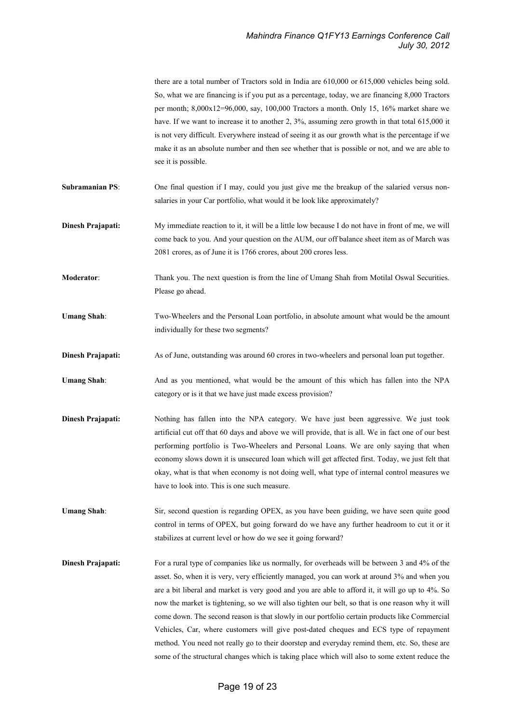|                        | there are a total number of Tractors sold in India are 610,000 or 615,000 vehicles being sold.<br>So, what we are financing is if you put as a percentage, today, we are financing 8,000 Tractors<br>per month; $8,000x12=96,000$ , say, 100,000 Tractors a month. Only 15, 16% market share we<br>have. If we want to increase it to another 2, 3%, assuming zero growth in that total 615,000 it<br>is not very difficult. Everywhere instead of seeing it as our growth what is the percentage if we<br>make it as an absolute number and then see whether that is possible or not, and we are able to<br>see it is possible.                                                                                                                                                                    |
|------------------------|-----------------------------------------------------------------------------------------------------------------------------------------------------------------------------------------------------------------------------------------------------------------------------------------------------------------------------------------------------------------------------------------------------------------------------------------------------------------------------------------------------------------------------------------------------------------------------------------------------------------------------------------------------------------------------------------------------------------------------------------------------------------------------------------------------|
| <b>Subramanian PS:</b> | One final question if I may, could you just give me the breakup of the salaried versus non-<br>salaries in your Car portfolio, what would it be look like approximately?                                                                                                                                                                                                                                                                                                                                                                                                                                                                                                                                                                                                                            |
| Dinesh Prajapati:      | My immediate reaction to it, it will be a little low because I do not have in front of me, we will<br>come back to you. And your question on the AUM, our off balance sheet item as of March was<br>2081 crores, as of June it is 1766 crores, about 200 crores less.                                                                                                                                                                                                                                                                                                                                                                                                                                                                                                                               |
| Moderator:             | Thank you. The next question is from the line of Umang Shah from Motilal Oswal Securities.<br>Please go ahead.                                                                                                                                                                                                                                                                                                                                                                                                                                                                                                                                                                                                                                                                                      |
| <b>Umang Shah:</b>     | Two-Wheelers and the Personal Loan portfolio, in absolute amount what would be the amount<br>individually for these two segments?                                                                                                                                                                                                                                                                                                                                                                                                                                                                                                                                                                                                                                                                   |
| Dinesh Prajapati:      | As of June, outstanding was around 60 crores in two-wheelers and personal loan put together.                                                                                                                                                                                                                                                                                                                                                                                                                                                                                                                                                                                                                                                                                                        |
| <b>Umang Shah:</b>     | And as you mentioned, what would be the amount of this which has fallen into the NPA<br>category or is it that we have just made excess provision?                                                                                                                                                                                                                                                                                                                                                                                                                                                                                                                                                                                                                                                  |
| Dinesh Prajapati:      | Nothing has fallen into the NPA category. We have just been aggressive. We just took<br>artificial cut off that 60 days and above we will provide, that is all. We in fact one of our best<br>performing portfolio is Two-Wheelers and Personal Loans. We are only saying that when<br>economy slows down it is unsecured loan which will get affected first. Today, we just felt that<br>okay, what is that when economy is not doing well, what type of internal control measures we<br>have to look into. This is one such measure.                                                                                                                                                                                                                                                              |
| <b>Umang Shah:</b>     | Sir, second question is regarding OPEX, as you have been guiding, we have seen quite good<br>control in terms of OPEX, but going forward do we have any further headroom to cut it or it<br>stabilizes at current level or how do we see it going forward?                                                                                                                                                                                                                                                                                                                                                                                                                                                                                                                                          |
| Dinesh Prajapati:      | For a rural type of companies like us normally, for overheads will be between 3 and 4% of the<br>asset. So, when it is very, very efficiently managed, you can work at around 3% and when you<br>are a bit liberal and market is very good and you are able to afford it, it will go up to 4%. So<br>now the market is tightening, so we will also tighten our belt, so that is one reason why it will<br>come down. The second reason is that slowly in our portfolio certain products like Commercial<br>Vehicles, Car, where customers will give post-dated cheques and ECS type of repayment<br>method. You need not really go to their doorstep and everyday remind them, etc. So, these are<br>some of the structural changes which is taking place which will also to some extent reduce the |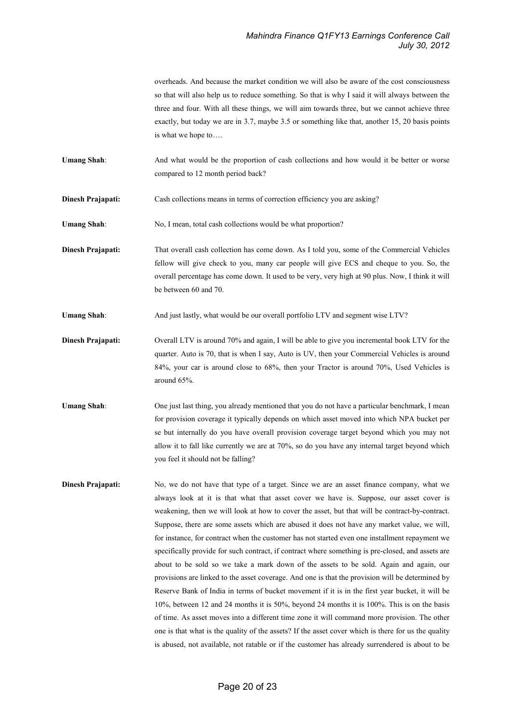overheads. And because the market condition we will also be aware of the cost consciousness so that will also help us to reduce something. So that is why I said it will always between the three and four. With all these things, we will aim towards three, but we cannot achieve three exactly, but today we are in 3.7, maybe 3.5 or something like that, another 15, 20 basis points is what we hope to….

Umang Shah: And what would be the proportion of cash collections and how would it be better or worse compared to 12 month period back?

Dinesh Prajapati: Cash collections means in terms of correction efficiency you are asking?

- Umang Shah: No, I mean, total cash collections would be what proportion?
- Dinesh Prajapati: That overall cash collection has come down. As I told you, some of the Commercial Vehicles fellow will give check to you, many car people will give ECS and cheque to you. So, the overall percentage has come down. It used to be very, very high at 90 plus. Now, I think it will be between 60 and 70.
- Umang Shah: And just lastly, what would be our overall portfolio LTV and segment wise LTV?
- **Dinesh Prajapati:** Overall LTV is around 70% and again, I will be able to give you incremental book LTV for the quarter. Auto is 70, that is when I say, Auto is UV, then your Commercial Vehicles is around 84%, your car is around close to 68%, then your Tractor is around 70%, Used Vehicles is around 65%.
- Umang Shah: One just last thing, you already mentioned that you do not have a particular benchmark, I mean for provision coverage it typically depends on which asset moved into which NPA bucket per se but internally do you have overall provision coverage target beyond which you may not allow it to fall like currently we are at 70%, so do you have any internal target beyond which you feel it should not be falling?
- **Dinesh Prajapati:** No, we do not have that type of a target. Since we are an asset finance company, what we always look at it is that what that asset cover we have is. Suppose, our asset cover is weakening, then we will look at how to cover the asset, but that will be contract-by-contract. Suppose, there are some assets which are abused it does not have any market value, we will, for instance, for contract when the customer has not started even one installment repayment we specifically provide for such contract, if contract where something is pre-closed, and assets are about to be sold so we take a mark down of the assets to be sold. Again and again, our provisions are linked to the asset coverage. And one is that the provision will be determined by Reserve Bank of India in terms of bucket movement if it is in the first year bucket, it will be 10%, between 12 and 24 months it is 50%, beyond 24 months it is 100%. This is on the basis of time. As asset moves into a different time zone it will command more provision. The other one is that what is the quality of the assets? If the asset cover which is there for us the quality is abused, not available, not ratable or if the customer has already surrendered is about to be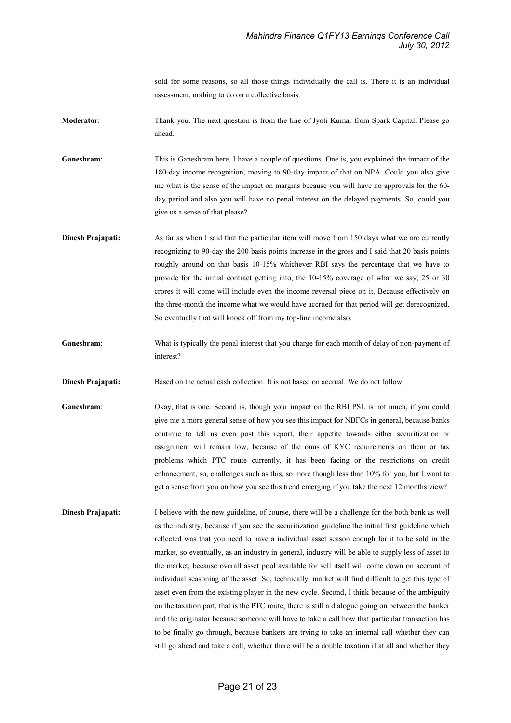sold for some reasons, so all those things individually the call is. There it is an individual assessment, nothing to do on a collective basis.

Moderator: Thank you. The next question is from the line of Jyoti Kumar from Spark Capital. Please go ahead.

Ganeshram: This is Ganeshram here. I have a couple of questions. One is, you explained the impact of the 180-day income recognition, moving to 90-day impact of that on NPA. Could you also give me what is the sense of the impact on margins because you will have no approvals for the 60 day period and also you will have no penal interest on the delayed payments. So, could you give us a sense of that please?

- **Dinesh Prajapati:** As far as when I said that the particular item will move from 150 days what we are currently recognizing to 90-day the 200 basis points increase in the gross and I said that 20 basis points roughly around on that basis 10-15% whichever RBI says the percentage that we have to provide for the initial contract getting into, the 10-15% coverage of what we say, 25 or 30 crores it will come will include even the income reversal piece on it. Because effectively on the three-month the income what we would have accrued for that period will get derecognized. So eventually that will knock off from my top-line income also.
- Ganeshram: What is typically the penal interest that you charge for each month of delay of non-payment of interest?
- **Dinesh Prajapati:** Based on the actual cash collection. It is not based on accrual. We do not follow.
- Ganeshram: Okay, that is one. Second is, though your impact on the RBI PSL is not much, if you could give me a more general sense of how you see this impact for NBFCs in general, because banks continue to tell us even post this report, their appetite towards either securitization or assignment will remain low, because of the onus of KYC requirements on them or tax problems which PTC route currently, it has been facing or the restrictions on credit enhancement, so, challenges such as this, so more though less than 10% for you, but I want to get a sense from you on how you see this trend emerging if you take the next 12 months view?
- Dinesh Prajapati: I believe with the new guideline, of course, there will be a challenge for the both bank as well as the industry, because if you see the securitization guideline the initial first guideline which reflected was that you need to have a individual asset season enough for it to be sold in the market, so eventually, as an industry in general, industry will be able to supply less of asset to the market, because overall asset pool available for sell itself will come down on account of individual seasoning of the asset. So, technically, market will find difficult to get this type of asset even from the existing player in the new cycle. Second, I think because of the ambiguity on the taxation part, that is the PTC route, there is still a dialogue going on between the banker and the originator because someone will have to take a call how that particular transaction has to be finally go through, because bankers are trying to take an internal call whether they can still go ahead and take a call, whether there will be a double taxation if at all and whether they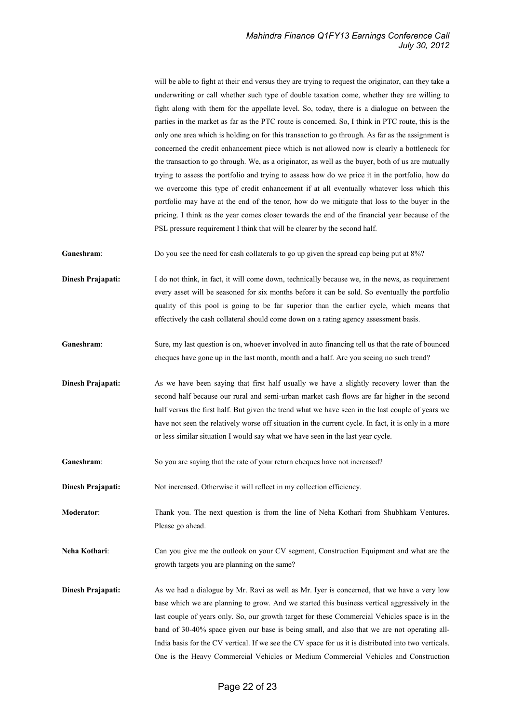will be able to fight at their end versus they are trying to request the originator, can they take a underwriting or call whether such type of double taxation come, whether they are willing to fight along with them for the appellate level. So, today, there is a dialogue on between the parties in the market as far as the PTC route is concerned. So, I think in PTC route, this is the only one area which is holding on for this transaction to go through. As far as the assignment is concerned the credit enhancement piece which is not allowed now is clearly a bottleneck for the transaction to go through. We, as a originator, as well as the buyer, both of us are mutually trying to assess the portfolio and trying to assess how do we price it in the portfolio, how do we overcome this type of credit enhancement if at all eventually whatever loss which this portfolio may have at the end of the tenor, how do we mitigate that loss to the buyer in the pricing. I think as the year comes closer towards the end of the financial year because of the PSL pressure requirement I think that will be clearer by the second half.

Ganeshram: Do you see the need for cash collaterals to go up given the spread cap being put at 8%?

Dinesh Prajapati: I do not think, in fact, it will come down, technically because we, in the news, as requirement every asset will be seasoned for six months before it can be sold. So eventually the portfolio quality of this pool is going to be far superior than the earlier cycle, which means that effectively the cash collateral should come down on a rating agency assessment basis.

- Ganeshram: Sure, my last question is on, whoever involved in auto financing tell us that the rate of bounced cheques have gone up in the last month, month and a half. Are you seeing no such trend?
- **Dinesh Prajapati:** As we have been saying that first half usually we have a slightly recovery lower than the second half because our rural and semi-urban market cash flows are far higher in the second half versus the first half. But given the trend what we have seen in the last couple of years we have not seen the relatively worse off situation in the current cycle. In fact, it is only in a more or less similar situation I would say what we have seen in the last year cycle.
- Ganeshram: So you are saying that the rate of your return cheques have not increased?

**Dinesh Prajapati:** Not increased. Otherwise it will reflect in my collection efficiency.

Moderator: Thank you. The next question is from the line of Neha Kothari from Shubhkam Ventures. Please go ahead.

Neha Kothari: Can you give me the outlook on your CV segment, Construction Equipment and what are the growth targets you are planning on the same?

**Dinesh Prajapati:** As we had a dialogue by Mr. Ravi as well as Mr. Iyer is concerned, that we have a very low base which we are planning to grow. And we started this business vertical aggressively in the last couple of years only. So, our growth target for these Commercial Vehicles space is in the band of 30-40% space given our base is being small, and also that we are not operating all-India basis for the CV vertical. If we see the CV space for us it is distributed into two verticals. One is the Heavy Commercial Vehicles or Medium Commercial Vehicles and Construction